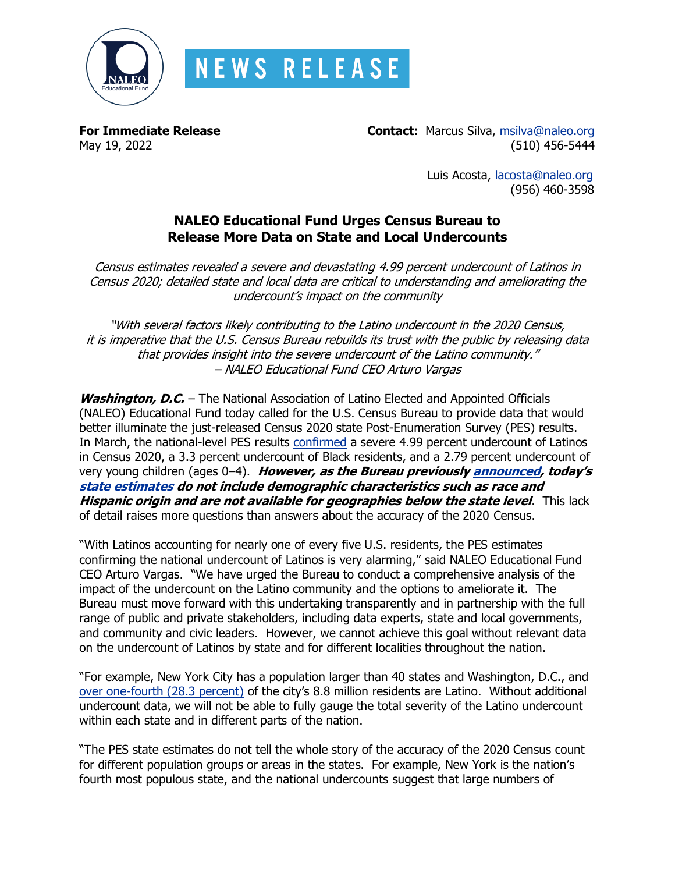

**For Immediate Release Contact:** Marcus Silva, [msilva@naleo.org](mailto:msilva@naleo.org) May 19, 2022 (510) 456-5444

> Luis Acosta, [lacosta@naleo.org](mailto:lacosta@naleo.org) (956) 460-3598

# **NALEO Educational Fund Urges Census Bureau to Release More Data on State and Local Undercounts**

Census estimates revealed a severe and devastating 4.99 percent undercount of Latinos in Census 2020; detailed state and local data are critical to understanding and ameliorating the undercount's impact on the community

"With several factors likely contributing to the Latino undercount in the 2020 Census, it is imperative that the U.S. Census Bureau rebuilds its trust with the public by releasing data that provides insight into the severe undercount of the Latino community." – NALEO Educational Fund CEO Arturo Vargas

Washington, D.C. - The National Association of Latino Elected and Appointed Officials (NALEO) Educational Fund today called for the U.S. Census Bureau to provide data that would better illuminate the just-released Census 2020 state Post-Enumeration Survey (PES) results. In March, the national-level PES results [confirmed](https://naleo.org/wp-content/uploads/2022/03/3_10_2022_-_NEF_Release_-_PES_Data_Release_-_Final-1.pdf) a severe 4.99 percent undercount of Latinos in Census 2020, a 3.3 percent undercount of Black residents, and a 2.79 percent undercount of very young children (ages 0–4). **However, as the Bureau previousl[y announced,](https://www.census.gov/newsroom/press-releases/2022/2020-census-pes-survey-results.html) <sup>t</sup>oday's [state estimates](https://www.census.gov/newsroom/press-releases/2022/pes-2020-undercount-overcount-by-state.html) do not include demographic characteristics such as race and Hispanic origin and are not available for geographies below the state level**. This lack of detail raises more questions than answers about the accuracy of the 2020 Census.

"With Latinos accounting for nearly one of every five U.S. residents, the PES estimates confirming the national undercount of Latinos is very alarming," said NALEO Educational Fund CEO Arturo Vargas. "We have urged the Bureau to conduct a comprehensive analysis of the impact of the undercount on the Latino community and the options to ameliorate it. The Bureau must move forward with this undertaking transparently and in partnership with the full range of public and private stakeholders, including data experts, state and local governments, and community and civic leaders. However, we cannot achieve this goal without relevant data on the undercount of Latinos by state and for different localities throughout the nation.

"For example, New York City has a population larger than 40 states and Washington, D.C., and [over one-fourth \(28.3 percent\)](https://naleo.org/wp-content/uploads/2021/12/12_14_2021_-_NEF_Release_-_NY_Census_Profile_-_Final.pdf) of the city's 8.8 million residents are Latino. Without additional undercount data, we will not be able to fully gauge the total severity of the Latino undercount within each state and in different parts of the nation.

"The PES state estimates do not tell the whole story of the accuracy of the 2020 Census count for different population groups or areas in the states. For example, New York is the nation's fourth most populous state, and the national undercounts suggest that large numbers of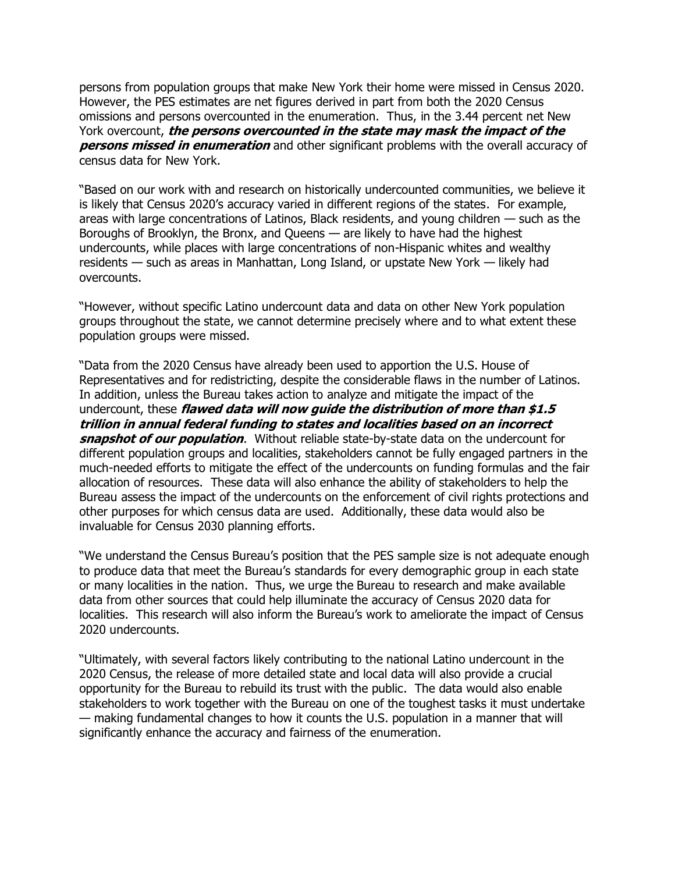persons from population groups that make New York their home were missed in Census 2020. However, the PES estimates are net figures derived in part from both the 2020 Census omissions and persons overcounted in the enumeration. Thus, in the 3.44 percent net New York overcount, **the persons overcounted in the state may mask the impact of the persons missed in enumeration** and other significant problems with the overall accuracy of census data for New York.

"Based on our work with and research on historically undercounted communities, we believe it is likely that Census 2020's accuracy varied in different regions of the states. For example, areas with large concentrations of Latinos, Black residents, and young children — such as the Boroughs of Brooklyn, the Bronx, and Queens — are likely to have had the highest undercounts, while places with large concentrations of non-Hispanic whites and wealthy residents — such as areas in Manhattan, Long Island, or upstate New York — likely had overcounts.

"However, without specific Latino undercount data and data on other New York population groups throughout the state, we cannot determine precisely where and to what extent these population groups were missed.

"Data from the 2020 Census have already been used to apportion the U.S. House of Representatives and for redistricting, despite the considerable flaws in the number of Latinos. In addition, unless the Bureau takes action to analyze and mitigate the impact of the undercount, these **flawed data will now guide the distribution of more than \$1.5 trillion in annual federal funding to states and localities based on an incorrect snapshot of our population**. Without reliable state-by-state data on the undercount for different population groups and localities, stakeholders cannot be fully engaged partners in the much-needed efforts to mitigate the effect of the undercounts on funding formulas and the fair allocation of resources. These data will also enhance the ability of stakeholders to help the Bureau assess the impact of the undercounts on the enforcement of civil rights protections and other purposes for which census data are used. Additionally, these data would also be invaluable for Census 2030 planning efforts.

"We understand the Census Bureau's position that the PES sample size is not adequate enough to produce data that meet the Bureau's standards for every demographic group in each state or many localities in the nation. Thus, we urge the Bureau to research and make available data from other sources that could help illuminate the accuracy of Census 2020 data for localities. This research will also inform the Bureau's work to ameliorate the impact of Census 2020 undercounts.

"Ultimately, with several factors likely contributing to the national Latino undercount in the 2020 Census, the release of more detailed state and local data will also provide a crucial opportunity for the Bureau to rebuild its trust with the public. The data would also enable stakeholders to work together with the Bureau on one of the toughest tasks it must undertake — making fundamental changes to how it counts the U.S. population in a manner that will significantly enhance the accuracy and fairness of the enumeration.